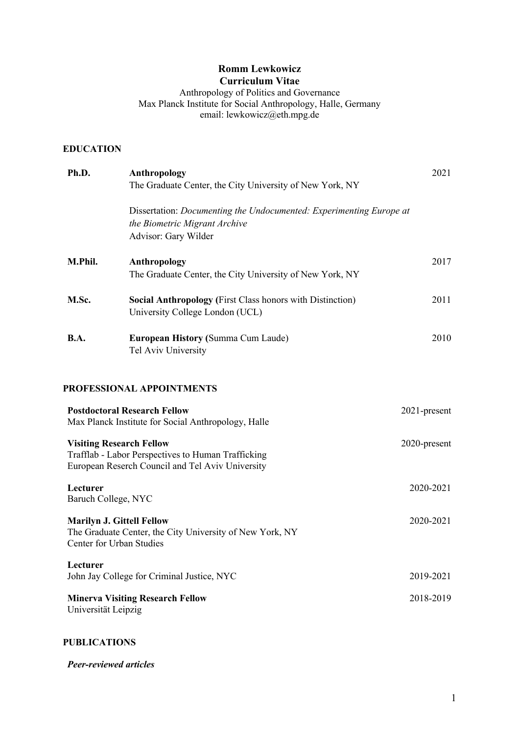# **Romm Lewkowicz Curriculum Vitae**

Anthropology of Politics and Governance Max Planck Institute for Social Anthropology, Halle, Germany email: lewkowicz@eth.mpg.de

## **EDUCATION**

| Ph.D.                                                        | Anthropology                                                                                           | 2021         |
|--------------------------------------------------------------|--------------------------------------------------------------------------------------------------------|--------------|
|                                                              | The Graduate Center, the City University of New York, NY                                               |              |
|                                                              | Dissertation: Documenting the Undocumented: Experimenting Europe at<br>the Biometric Migrant Archive   |              |
|                                                              | Advisor: Gary Wilder                                                                                   |              |
| M.Phil.                                                      | Anthropology<br>The Graduate Center, the City University of New York, NY                               | 2017         |
| M.Sc.                                                        | <b>Social Anthropology (First Class honors with Distinction)</b><br>University College London (UCL)    | 2011         |
| <b>B.A.</b>                                                  | <b>European History (Summa Cum Laude)</b><br>Tel Aviv University                                       | 2010         |
|                                                              | PROFESSIONAL APPOINTMENTS                                                                              |              |
|                                                              | <b>Postdoctoral Research Fellow</b><br>Max Planck Institute for Social Anthropology, Halle             | 2021-present |
| <b>Visiting Research Fellow</b>                              | Trafflab - Labor Perspectives to Human Trafficking<br>European Reserch Council and Tel Aviv University | 2020-present |
| Lecturer<br>Baruch College, NYC                              |                                                                                                        | 2020-2021    |
| <b>Marilyn J. Gittell Fellow</b><br>Center for Urban Studies | The Graduate Center, the City University of New York, NY                                               | 2020-2021    |
| Lecturer                                                     | John Jay College for Criminal Justice, NYC                                                             | 2019-2021    |
|                                                              | <b>Minerva Visiting Research Fellow</b>                                                                | 2018-2019    |

Universität Leipzig

### **PUBLICATIONS**

*Peer-reviewed articles*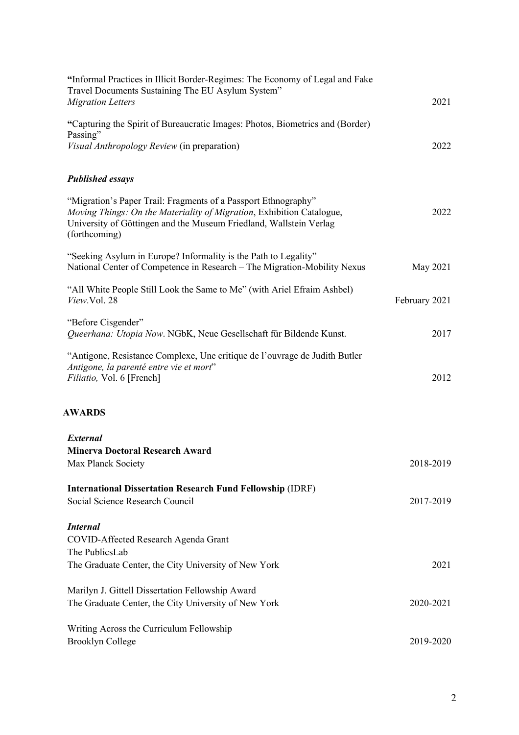| "Informal Practices in Illicit Border-Regimes: The Economy of Legal and Fake<br>Travel Documents Sustaining The EU Asylum System"<br><b>Migration Letters</b>                                                                  | 2021          |
|--------------------------------------------------------------------------------------------------------------------------------------------------------------------------------------------------------------------------------|---------------|
| "Capturing the Spirit of Bureaucratic Images: Photos, Biometrics and (Border)                                                                                                                                                  |               |
| Passing"<br>Visual Anthropology Review (in preparation)                                                                                                                                                                        | 2022          |
|                                                                                                                                                                                                                                |               |
| <b>Published essays</b>                                                                                                                                                                                                        |               |
| "Migration's Paper Trail: Fragments of a Passport Ethnography"<br>Moving Things: On the Materiality of Migration, Exhibition Catalogue,<br>University of Göttingen and the Museum Friedland, Wallstein Verlag<br>(forthcoming) | 2022          |
| "Seeking Asylum in Europe? Informality is the Path to Legality"<br>National Center of Competence in Research - The Migration-Mobility Nexus                                                                                    | May 2021      |
| "All White People Still Look the Same to Me" (with Ariel Efraim Ashbel)<br>View.Vol. 28                                                                                                                                        | February 2021 |
| "Before Cisgender"<br>Queerhana: Utopia Now. NGbK, Neue Gesellschaft für Bildende Kunst.                                                                                                                                       | 2017          |
| "Antigone, Resistance Complexe, Une critique de l'ouvrage de Judith Butler<br>Antigone, la parenté entre vie et mort"<br>Filiatio, Vol. 6 [French]                                                                             | 2012          |
| <b>AWARDS</b>                                                                                                                                                                                                                  |               |
| <b>External</b>                                                                                                                                                                                                                |               |
| <b>Minerva Doctoral Research Award</b><br>Max Planck Society                                                                                                                                                                   | 2018-2019     |
| <b>International Dissertation Research Fund Fellowship (IDRF)</b>                                                                                                                                                              |               |
| Social Science Research Council                                                                                                                                                                                                | 2017-2019     |
| <b>Internal</b>                                                                                                                                                                                                                |               |
| COVID-Affected Research Agenda Grant                                                                                                                                                                                           |               |
| The PublicsLab<br>The Graduate Center, the City University of New York                                                                                                                                                         | 2021          |
|                                                                                                                                                                                                                                |               |
| Marilyn J. Gittell Dissertation Fellowship Award                                                                                                                                                                               |               |
| The Graduate Center, the City University of New York                                                                                                                                                                           | 2020-2021     |
| Writing Across the Curriculum Fellowship                                                                                                                                                                                       |               |
| <b>Brooklyn College</b>                                                                                                                                                                                                        | 2019-2020     |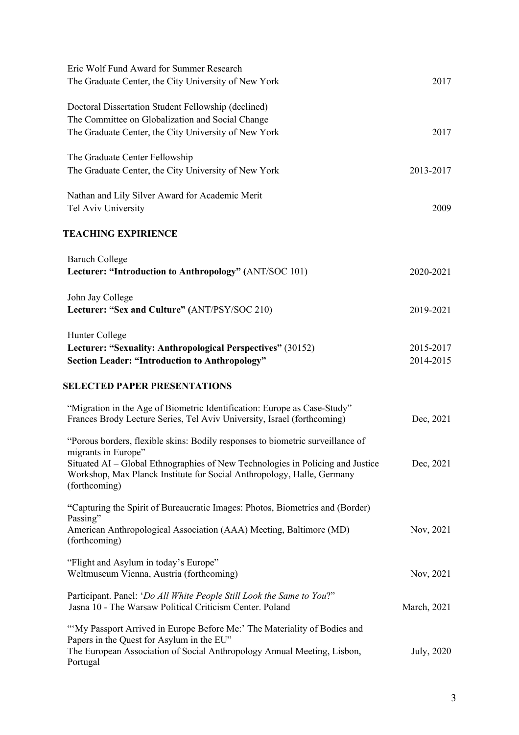| Eric Wolf Fund Award for Summer Research<br>The Graduate Center, the City University of New York                     | 2017        |
|----------------------------------------------------------------------------------------------------------------------|-------------|
| Doctoral Dissertation Student Fellowship (declined)                                                                  |             |
| The Committee on Globalization and Social Change                                                                     |             |
| The Graduate Center, the City University of New York                                                                 | 2017        |
|                                                                                                                      |             |
| The Graduate Center Fellowship                                                                                       |             |
| The Graduate Center, the City University of New York                                                                 | 2013-2017   |
| Nathan and Lily Silver Award for Academic Merit                                                                      |             |
| Tel Aviv University                                                                                                  | 2009        |
| <b>TEACHING EXPIRIENCE</b>                                                                                           |             |
| <b>Baruch College</b>                                                                                                |             |
| Lecturer: "Introduction to Anthropology" (ANT/SOC 101)                                                               | 2020-2021   |
|                                                                                                                      |             |
| John Jay College<br>Lecturer: "Sex and Culture" (ANT/PSY/SOC 210)                                                    | 2019-2021   |
|                                                                                                                      |             |
| Hunter College                                                                                                       |             |
| Lecturer: "Sexuality: Anthropological Perspectives" (30152)                                                          | 2015-2017   |
| <b>Section Leader: "Introduction to Anthropology"</b>                                                                | 2014-2015   |
| <b>SELECTED PAPER PRESENTATIONS</b>                                                                                  |             |
| "Migration in the Age of Biometric Identification: Europe as Case-Study"                                             |             |
| Frances Brody Lecture Series, Tel Aviv University, Israel (forthcoming)                                              | Dec, 2021   |
| "Porous borders, flexible skins: Bodily responses to biometric surveillance of<br>migrants in Europe"                |             |
| Situated AI – Global Ethnographies of New Technologies in Policing and Justice                                       | Dec, 2021   |
| Workshop, Max Planck Institute for Social Anthropology, Halle, Germany<br>(forthcoming)                              |             |
| "Capturing the Spirit of Bureaucratic Images: Photos, Biometrics and (Border)                                        |             |
| Passing"                                                                                                             |             |
| American Anthropological Association (AAA) Meeting, Baltimore (MD)<br>(forthcoming)                                  | Nov, 2021   |
|                                                                                                                      |             |
| "Flight and Asylum in today's Europe"<br>Weltmuseum Vienna, Austria (forthcoming)                                    | Nov, 2021   |
|                                                                                                                      |             |
| Participant. Panel: 'Do All White People Still Look the Same to You?"                                                |             |
| Jasna 10 - The Warsaw Political Criticism Center. Poland                                                             | March, 2021 |
| "My Passport Arrived in Europe Before Me:' The Materiality of Bodies and                                             |             |
| Papers in the Quest for Asylum in the EU"<br>The European Association of Social Anthropology Annual Meeting, Lisbon, |             |
| Portugal                                                                                                             | July, 2020  |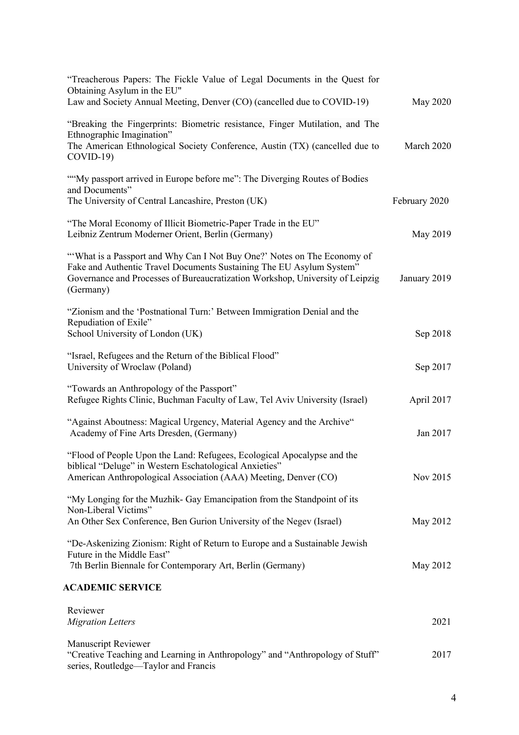| "Treacherous Papers: The Fickle Value of Legal Documents in the Quest for<br>Obtaining Asylum in the EU"<br>Law and Society Annual Meeting, Denver (CO) (cancelled due to COVID-19)                                                           | May 2020      |
|-----------------------------------------------------------------------------------------------------------------------------------------------------------------------------------------------------------------------------------------------|---------------|
| "Breaking the Fingerprints: Biometric resistance, Finger Mutilation, and The<br>Ethnographic Imagination"<br>The American Ethnological Society Conference, Austin (TX) (cancelled due to<br>$COVID-19$                                        | March 2020    |
| ""My passport arrived in Europe before me": The Diverging Routes of Bodies<br>and Documents"<br>The University of Central Lancashire, Preston (UK)                                                                                            | February 2020 |
| "The Moral Economy of Illicit Biometric-Paper Trade in the EU"<br>Leibniz Zentrum Moderner Orient, Berlin (Germany)                                                                                                                           | May 2019      |
| "What is a Passport and Why Can I Not Buy One?' Notes on The Economy of<br>Fake and Authentic Travel Documents Sustaining The EU Asylum System"<br>Governance and Processes of Bureaucratization Workshop, University of Leipzig<br>(Germany) | January 2019  |
| "Zionism and the 'Postnational Turn:' Between Immigration Denial and the<br>Repudiation of Exile"<br>School University of London (UK)                                                                                                         | Sep 2018      |
| "Israel, Refugees and the Return of the Biblical Flood"<br>University of Wroclaw (Poland)                                                                                                                                                     | Sep 2017      |
| "Towards an Anthropology of the Passport"<br>Refugee Rights Clinic, Buchman Faculty of Law, Tel Aviv University (Israel)                                                                                                                      | April 2017    |
| "Against Aboutness: Magical Urgency, Material Agency and the Archive"<br>Academy of Fine Arts Dresden, (Germany)                                                                                                                              | Jan 2017      |
| "Flood of People Upon the Land: Refugees, Ecological Apocalypse and the<br>biblical "Deluge" in Western Eschatological Anxieties"<br>American Anthropological Association (AAA) Meeting, Denver (CO)                                          | Nov 2015      |
| "My Longing for the Muzhik- Gay Emancipation from the Standpoint of its<br>Non-Liberal Victims"<br>An Other Sex Conference, Ben Gurion University of the Negev (Israel)                                                                       | May 2012      |
| "De-Askenizing Zionism: Right of Return to Europe and a Sustainable Jewish<br>Future in the Middle East"<br>7th Berlin Biennale for Contemporary Art, Berlin (Germany)                                                                        | May 2012      |
| <b>ACADEMIC SERVICE</b>                                                                                                                                                                                                                       |               |
| Reviewer<br><b>Migration Letters</b>                                                                                                                                                                                                          | 2021          |
| <b>Manuscript Reviewer</b><br>"Creative Teaching and Learning in Anthropology" and "Anthropology of Stuff"<br>series, Routledge-Taylor and Francis                                                                                            | 2017          |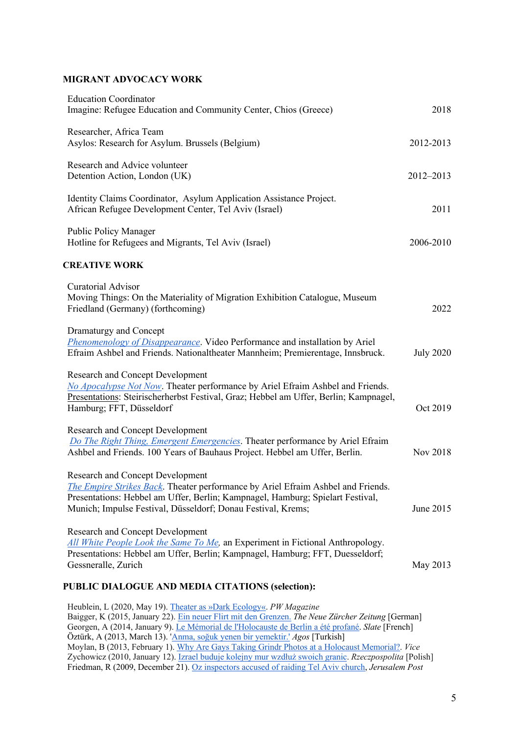#### **MIGRANT ADVOCACY WORK**

| <b>Education Coordinator</b><br>Imagine: Refugee Education and Community Center, Chios (Greece)                                                                                                                                                                               | 2018             |
|-------------------------------------------------------------------------------------------------------------------------------------------------------------------------------------------------------------------------------------------------------------------------------|------------------|
| Researcher, Africa Team<br>Asylos: Research for Asylum. Brussels (Belgium)                                                                                                                                                                                                    | 2012-2013        |
| Research and Advice volunteer<br>Detention Action, London (UK)                                                                                                                                                                                                                | 2012-2013        |
| Identity Claims Coordinator, Asylum Application Assistance Project.<br>African Refugee Development Center, Tel Aviv (Israel)                                                                                                                                                  | 2011             |
| <b>Public Policy Manager</b><br>Hotline for Refugees and Migrants, Tel Aviv (Israel)                                                                                                                                                                                          | 2006-2010        |
| <b>CREATIVE WORK</b>                                                                                                                                                                                                                                                          |                  |
| <b>Curatorial Advisor</b><br>Moving Things: On the Materiality of Migration Exhibition Catalogue, Museum<br>Friedland (Germany) (forthcoming)                                                                                                                                 | 2022             |
| Dramaturgy and Concept<br><b>Phenomenology of Disappearance</b> . Video Performance and installation by Ariel<br>Efraim Ashbel and Friends. Nationaltheater Mannheim; Premierentage, Innsbruck.                                                                               | <b>July 2020</b> |
| <b>Research and Concept Development</b><br>No Apocalypse Not Now. Theater performance by Ariel Efraim Ashbel and Friends.<br>Presentations: Steirischerherbst Festival, Graz; Hebbel am Uffer, Berlin; Kampnagel,<br>Hamburg; FFT, Düsseldorf                                 | Oct 2019         |
| <b>Research and Concept Development</b><br>Do The Right Thing, Emergent Emergencies. Theater performance by Ariel Efraim<br>Ashbel and Friends. 100 Years of Bauhaus Project. Hebbel am Uffer, Berlin.                                                                        | Nov 2018         |
| <b>Research and Concept Development</b><br>The Empire Strikes Back. Theater performance by Ariel Efraim Ashbel and Friends.<br>Presentations: Hebbel am Uffer, Berlin; Kampnagel, Hamburg; Spielart Festival,<br>Munich; Impulse Festival, Düsseldorf; Donau Festival, Krems; | June 2015        |
| <b>Research and Concept Development</b><br>All White People Look the Same To Me, an Experiment in Fictional Anthropology.<br>Presentations: Hebbel am Uffer, Berlin; Kampnagel, Hamburg; FFT, Duesseldorf;<br>Gessneralle, Zurich                                             | May 2013         |
| PUBLIC DIALOGUE AND MEDIA CITATIONS (selection):                                                                                                                                                                                                                              |                  |
|                                                                                                                                                                                                                                                                               |                  |

Heublein, L (2020, May 19). Theater as »Dark Ecology«. *PW Magazine* Baigger, K (2015, January 22). Ein neuer Flirt mit den Grenzen. *The Neue Zürcher Zeitung* [German] Georgen, A (2014, January 9). Le Mémorial de l'Holocauste de Berlin a été profané. *Slate* [French] Öztürk, A (2013, March 13). 'Anma, soğuk yenen bir yemektir.' *Agos* [Turkish] Moylan, B (2013, February 1). Why Are Gays Taking Grindr Photos at a Holocaust Memorial?. *Vice* Zychowicz (2010, January 12). Izrael buduje kolejny mur wzdłuż swoich granic. *Rzeczpospolita* [Polish] Friedman, R (2009, December 21). Oz inspectors accused of raiding Tel Aviv church, *Jerusalem Post*